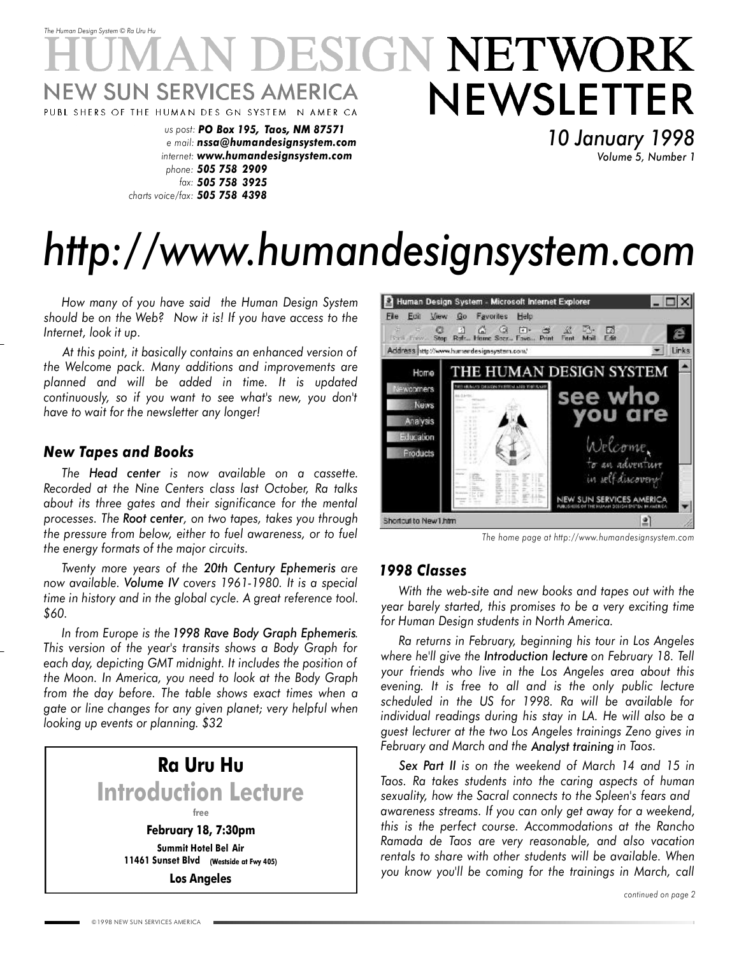### *The Human Design System* © *Ra Uru Hu* ESIGN NETWORK NEWSLETTER W SUN SERVICES AMERICA PUBL SHERS OF THE HUMAN DES GN SYSTEM N AMER CA

*us post: PO Box 195, Taos, NM 87571 e mail: nssa@humandesignsystem.com internet: www.humandesignsystem.com phone: 505 758 2909 fax: 505 758 3925 charts voice/fax: 505 758 4398*

*10 January 1998 Volume 5, Number 1*

# *http://www.humandesignsystem.com*

*How many of you have said the Human Design System should be on the Web? Now it is! If you have access to the Internet, look it up.*

*At this point, it basically contains an enhanced version of the Welcome pack. Many additions and improvements are planned and will be added in time. It is updated continuously, so if you want to see what's new, you don't have to wait for the newsletter any longer!*

#### *New Tapes and Books*

*The Head center is now available on a cassette. Recorded at the Nine Centers class last October, Ra talks about its three gates and their significance for the mental processes. The Root center, on two tapes, takes you through the pressure from below, either to fuel awareness, or to fuel the energy formats of the major circuits.*

*Twenty more years of the 20th Century Ephemeris are now available. Volume IV covers 1961-1980. It is a special time in history and in the global cycle. A great reference tool. \$60.*

*In from Europe is the 1998 Rave Body Graph Ephemeris. This version of the year's transits shows a Body Graph for each day, depicting GMT midnight. It includes the position of the Moon. In America, you need to look at the Body Graph from the day before. The table shows exact times when a gate or line changes for any given planet; very helpful when looking up events or planning. \$32*



**Los Angeles**



*The home page at http://www.humandesignsystem.com*

#### *1998 Classes*

*With the web-site and new books and tapes out with the year barely started, this promises to be a very exciting time for Human Design students in North America.*

*Ra returns in February, beginning his tour in Los Angeles where he'll give the Introduction lecture on February 18. Tell your friends who live in the Los Angeles area about this evening. It is free to all and is the only public lecture scheduled in the US for 1998. Ra will be available for individual readings during his stay in LA. He will also be a guest lecturer at the two Los Angeles trainings Zeno gives in February and March and the Analyst training in Taos.*

*Sex Part II is on the weekend of March 14 and 15 in Taos. Ra takes students into the caring aspects of human sexuality, how the Sacral connects to the Spleen's fears and awareness streams. If you can only get away for a weekend, this is the perfect course. Accommodations at the Rancho Ramada de Taos are very reasonable, and also vacation rentals to share with other students will be available. When you know you'll be coming for the trainings in March, call*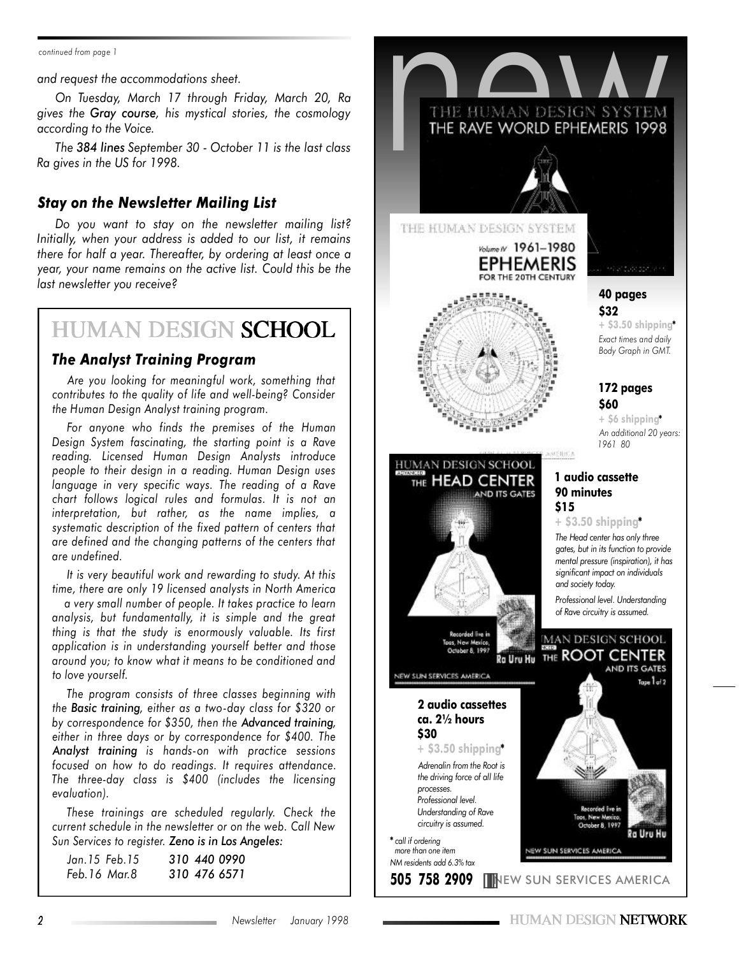*continued from page 1*

*and request the accommodations sheet.*

*On Tuesday, March 17 through Friday, March 20, Ra gives the Gray course, his mystical stories, the cosmology according to the Voice.*

*The 384 lines September 30 - October 11 is the last class Ra gives in the US for 1998.*

#### *Stay on the Newsletter Mailing List*

*Do you want to stay on the newsletter mailing list? Initially, when your address is added to our list, it remains there for half a year. Thereafter, by ordering at least once a year, your name remains on the active list. Could this be the last newsletter you receive?*

## **HUMAN DESIGN SCHOOL**

#### *The Analyst Training Program*

*Are you looking for meaningful work, something that contributes to the quality of life and well-being? Consider the Human Design Analyst training program.*

*For anyone who finds the premises of the Human Design System fascinating, the starting point is a Rave reading. Licensed Human Design Analysts introduce people to their design in a reading. Human Design uses language in very specific ways. The reading of a Rave chart follows logical rules and formulas. It is not an interpretation, but rather, as the name implies, a systematic description of the fixed pattern of centers that are defined and the changing patterns of the centers that are undefined.*

*It is very beautiful work and rewarding to study. At this time, there are only 19 licensed analysts in North America*

*a very small number of people. It takes practice to learn analysis, but fundamentally, it is simple and the great thing is that the study is enormously valuable. Its first application is in understanding yourself better and those around you; to know what it means to be conditioned and to love yourself.*

*The program consists of three classes beginning with the Basic training, either as a two-day class for \$320 or by correspondence for \$350, then the Advanced training, either in three days or by correspondence for \$400. The Analyst training is hands-on with practice sessions focused on how to do readings. It requires attendance. The three-day class is \$400 (includes the licensing evaluation).*

*These trainings are scheduled regularly. Check the current schedule in the newsletter or on the web. Call New Sun Services to register. Zeno is in Los Angeles:*

| Jan.15 Feb.15 | 310 440 0990 |
|---------------|--------------|
| Feb.16 Mar.8  | 310 476 6571 |

THE HUMAN DESIGN SYSTEM THE HUMAN DESIGN SYSTEM Volume / 1961-1980 EPHEMERIS FOR THE 20TH CENTURY **40 pages \$32 + \$3.50 shipping\*** *Exact times and daily Body Graph in GMT.* **172 pages \$60 + \$6 shipping\*** *An additional 20 years: 1961 80* MENICA HUMAN DESIGN SCHOOL **1 audio cassette** THE HEAD CENTER **90 minutes** AND ITS GATES **\$15 + \$3.50 shipping\*** *The Head center has only three gates, but in its function to provide mental pressure (inspiration), it has significant impact on individuals and society today. Professional level. Understanding of Rave circuitry is assumed.* **MAN DESIGN SCHOOL Ro Uru Hu THE ROOT CENTER** AND ITS GATES EW SUN SERVICES AMERICA  $T_{\text{GDE}}$  $T_{\text{G}}/2$ **2 audio cassettes ca. 2½ hours \$30 + \$3.50 shipping\*** *Adrenalin from the Root is the driving force of all life processes. Professional level. Understanding of Rave circuitry is assumed.* 2a Uru Hu **\*** *call if ordering more than one item* EW SUN SERVICES AMERICA *NM residents add 6.3% tax*

**505 758 2909** NEW SUN SERVICES AMERICA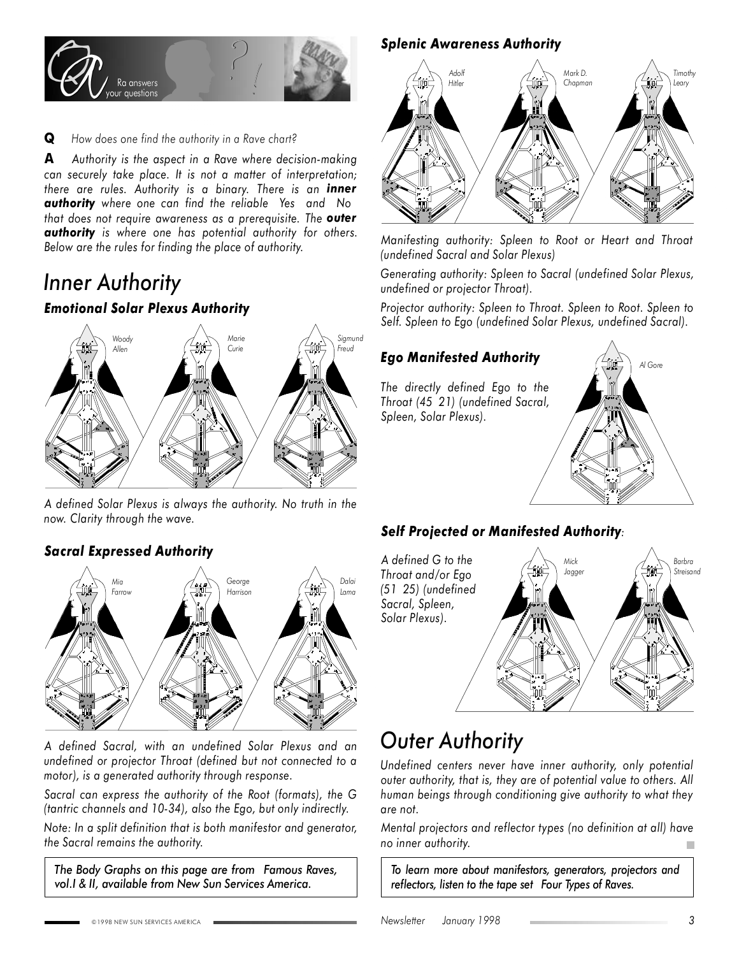

**Q** *How does one find the authority in a Rave chart?*

**A** *Authority is the aspect in a Rave where decision-making can securely take place. It is not a matter of interpretation; there are rules. Authority is a binary. There is an inner authority where one can find the reliable Yes and No that does not require awareness as a prerequisite. The outer authority is where one has potential authority for others. Below are the rules for finding the place of authority.*

## *Inner Authority*

#### *Emotional Solar Plexus Authority*



*A defined Solar Plexus is always the authority. No truth in the now. Clarity through the wave.*

#### *Sacral Expressed Authority*



*A defined Sacral, with an undefined Solar Plexus and an undefined or projector Throat (defined but not connected to a motor), is a generated authority through response.*

*Sacral can express the authority of the Root (formats), the G (tantric channels and 10-34), also the Ego, but only indirectly.*

*Note: In a split definition that is both manifestor and generator, the Sacral remains the authority.*

*The Body Graphs on this page are from Famous Raves, vol.I & II, available from New Sun Services America.*

#### *Splenic Awareness Authority*



*Manifesting authority: Spleen to Root or Heart and Throat (undefined Sacral and Solar Plexus)*

*Generating authority: Spleen to Sacral (undefined Solar Plexus, undefined or projector Throat).*

*Projector authority: Spleen to Throat. Spleen to Root. Spleen to Self. Spleen to Ego (undefined Solar Plexus, undefined Sacral).*

#### *Ego Manifested Authority*

*The directly defined Ego to the Throat (45 21) (undefined Sacral, Spleen, Solar Plexus).*



#### *Self Projected or Manifested Authority:*



## *Outer Authority*

*Undefined centers never have inner authority, only potential outer authority, that is, they are of potential value to others. All human beings through conditioning give authority to what they are not.*

*Mental projectors and reflector types (no definition at all) have no inner authority.*

*To learn more about manifestors, generators, projectors and reflectors, listen to the tape set Four Types of Raves.*